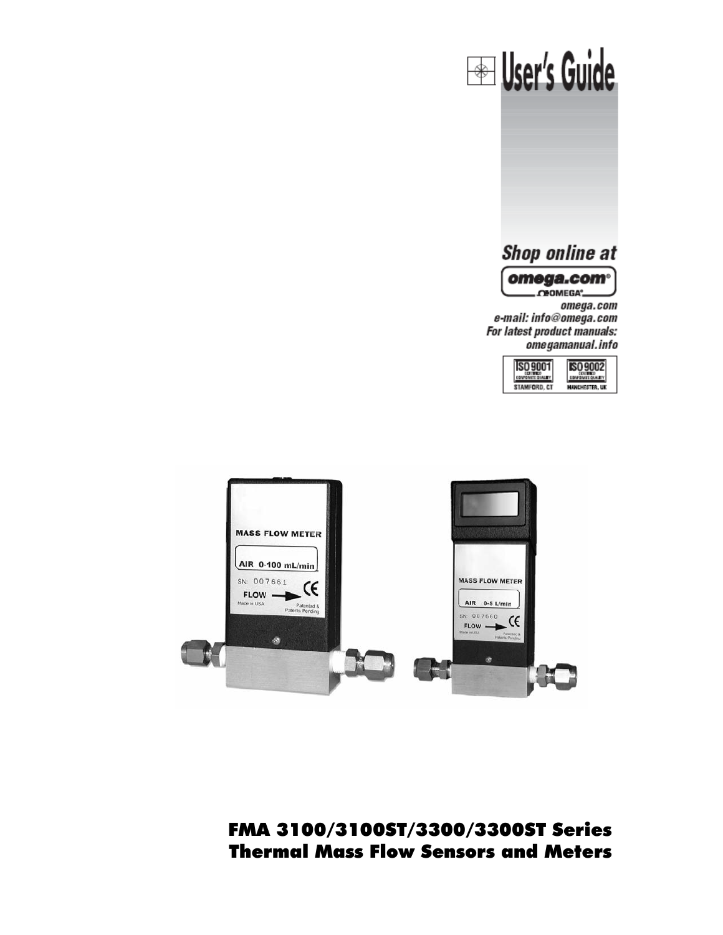



FMA 3100/3100ST/3300/3300ST Series Thermal Mass Flow Sensors and Meters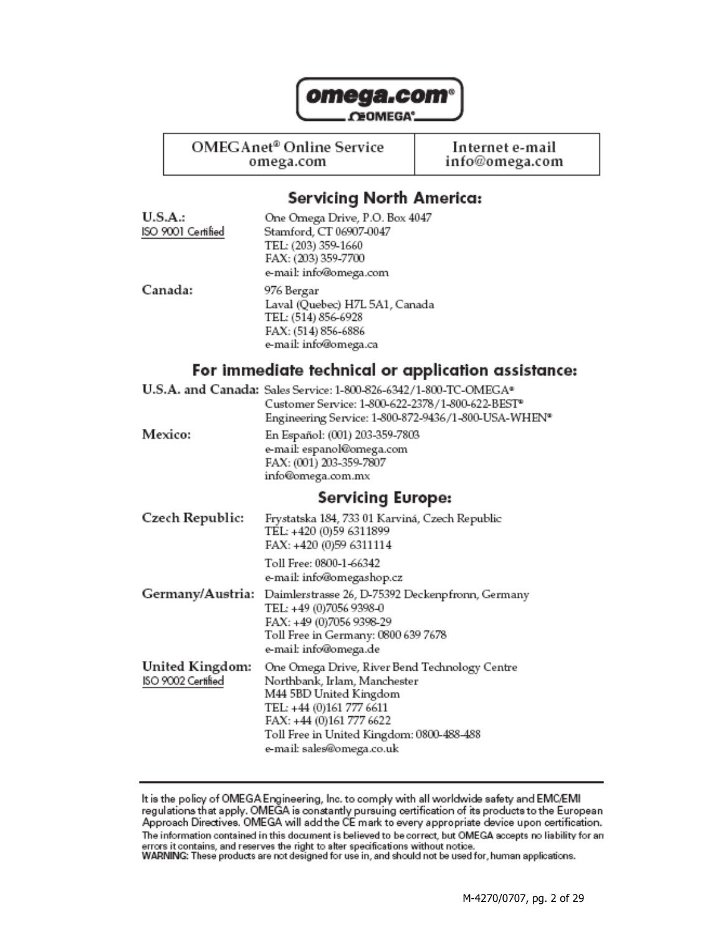

**CEOMEGA**<sup>\*</sup>

OMEGAnet<sup>®</sup> Online Service

omega.com

Internet e-mail info@omega.com

## **Servicing North America:**

| U.S.A.:            | One Omega Drive, P.O. Box 4047 |
|--------------------|--------------------------------|
| ISO 9001 Certified | Stamford, CT 06907-0047        |
|                    | TEL: (203) 359-1660            |
|                    | FAX: (203) 359-7700            |
|                    | e-mail: info@omega.com         |
| Canada:            | 976 Bergar                     |
|                    | Laval (Quebec) H7L 5A1, Canada |
|                    | TEL: (514) 856-6928            |
|                    | FAX: (514) 856-6886            |
|                    | e-mail: info@omega.ca          |
|                    |                                |

## For immediate technical or application assistance:

|                 | U.S.A. and Canada: Sales Service: 1-800-826-6342/1-800-TC-OMEGA®  |
|-----------------|-------------------------------------------------------------------|
|                 | Customer Service: 1-800-622-2378/1-800-622-BEST <sup>®</sup>      |
|                 | Engineering Service: 1-800-872-9436/1-800-USA-WHEN*               |
| Mexico:         | En Español: (001) 203-359-7803                                    |
|                 | e-mail: espanol@omega.com                                         |
|                 | FAX: (001) 203-359-7807                                           |
|                 | info@omega.com.mx                                                 |
|                 | <b>Servicing Europe:</b>                                          |
| Czech Republic: | Frystatska 184, 733 01 Karviná, Czech Republic                    |
|                 | TEL: +420 (0)59 6311899                                           |
|                 | FAX: +420 (0)59 6311114                                           |
|                 | Toll Free: 0800-1-66342                                           |
|                 | e-mail: info@omegashop.cz                                         |
|                 | Germany/Austria: Daimlerstrasse 26, D-75392 Deckenpfronn, Germany |

|                    | Germany/Austria: Daimierstrasse 26, D-75392 Deckempfromm, German |
|--------------------|------------------------------------------------------------------|
|                    | TEL: +49 (0)7056 9398-0                                          |
|                    | FAX: +49 (0)7056 9398-29                                         |
|                    | Toll Free in Germany: 0800 639 7678                              |
|                    | e-mail: info@omega.de                                            |
| United Kingdom:    | One Omega Drive, River Bend Technology Centre                    |
| ISO 9002 Certified | Northbank, Irlam, Manchester                                     |
|                    | M44 5BD United Kingdom                                           |
|                    | TEL: +44 (0)161 777 6611                                         |
|                    | FAX: +44 (0)161 777 6622                                         |
|                    | Toll Free in United Kingdom: 0800-488-488                        |

e-mail: sales@omega.co.uk

It is the policy of OMEGA Engineering, Inc. to comply with all worldwide safety and EMC/EMI<br>regulations that apply. OMEGA is constantly pursuing certification of its products to the European<br>Approach Directives. OMEGA will The information contained in this document is believed to be correct, but OMEGA accepts no liability for an errors it contains, and reserves the right to alter specifications without notice.<br>WARNING: These products are not designed for use in, and should not be used for, human applications.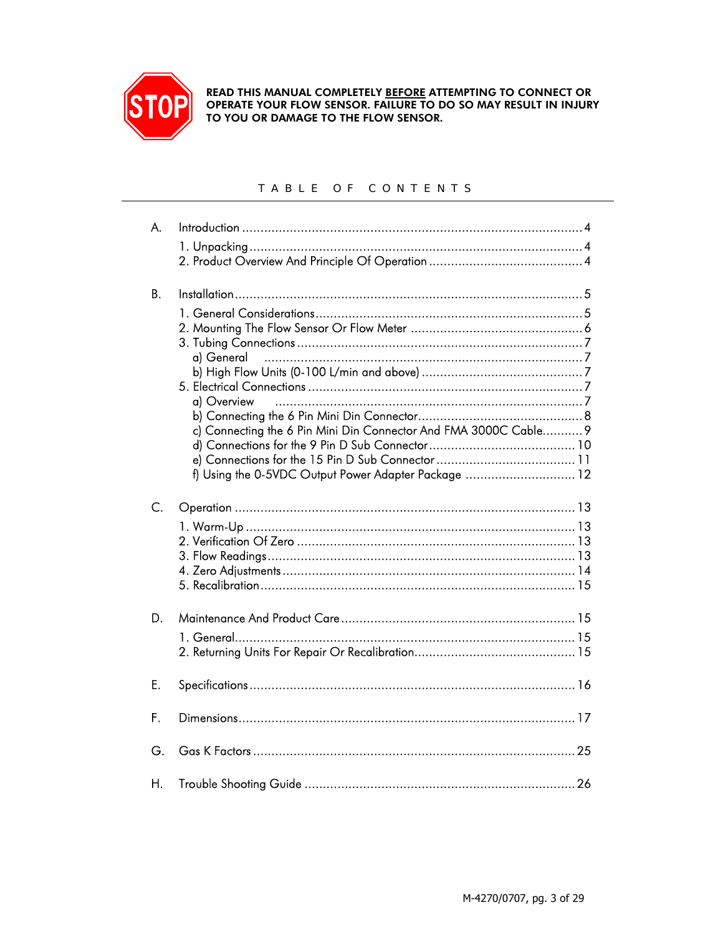

READ THIS MANUAL COMPLETELY BEFORE ATTEMPTING TO CONNECT OR<br>OPERATE YOUR FLOW SENSOR. FAILURE TO DO SO MAY RESULT IN INJURY TO YOU OR DAMAGE TO THE FLOW SENSOR.

#### TABLE OF CONTENTS

| A.          |                                                                                                                                                       |
|-------------|-------------------------------------------------------------------------------------------------------------------------------------------------------|
|             |                                                                                                                                                       |
| <b>B.</b>   | a) General<br>a) Overview<br>c) Connecting the 6 Pin Mini Din Connector And FMA 3000C Cable 9<br>f) Using the 0-5VDC Output Power Adapter Package  12 |
| $C_{\cdot}$ |                                                                                                                                                       |
| D.          |                                                                                                                                                       |
| E.          |                                                                                                                                                       |
| F.          |                                                                                                                                                       |
| G.          |                                                                                                                                                       |
| Η.          |                                                                                                                                                       |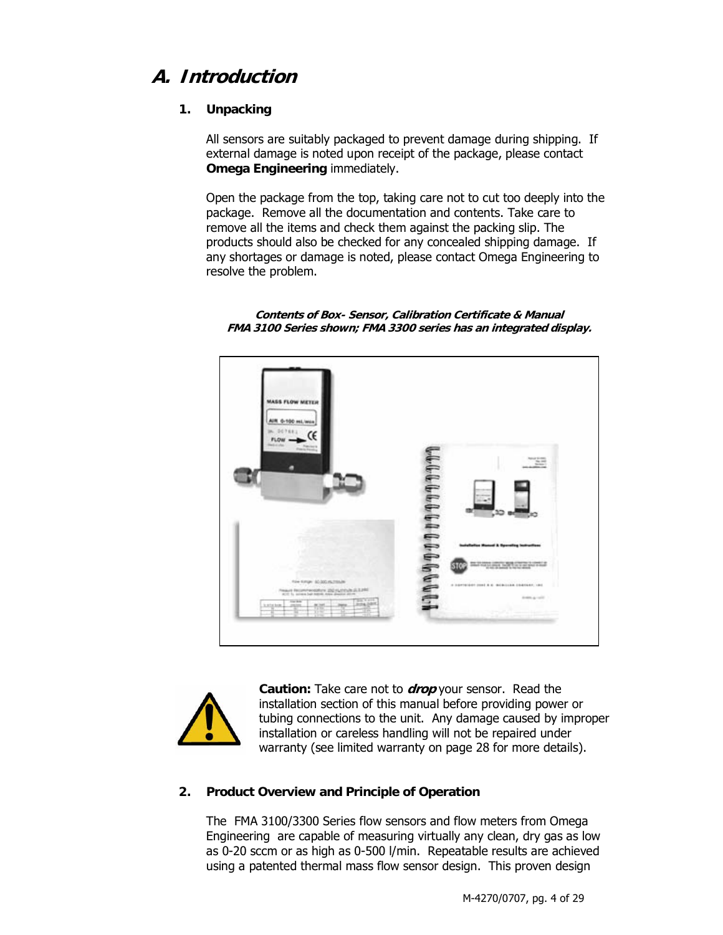## **A. Introduction**

#### **1. Unpacking**

All sensors are suitably packaged to prevent damage during shipping. If external damage is noted upon receipt of the package, please contact **Omega Engineering** immediately.

Open the package from the top, taking care not to cut too deeply into the package. Remove all the documentation and contents. Take care to remove all the items and check them against the packing slip. The products should also be checked for any concealed shipping damage. If any shortages or damage is noted, please contact Omega Engineering to resolve the problem.

**Contents of Box- Sensor, Calibration Certificate & Manual FMA 3100 Series shown; FMA 3300 series has an integrated display.** 





**Caution:** Take care not to **drop** your sensor. Read the installation section of this manual before providing power or tubing connections to the unit. Any damage caused by improper installation or careless handling will not be repaired under warranty (see limited warranty on page 28 for more details).

#### **2. Product Overview and Principle of Operation**

The FMA 3100/3300 Series flow sensors and flow meters from Omega Engineering are capable of measuring virtually any clean, dry gas as low as 0-20 sccm or as high as 0-500 l/min. Repeatable results are achieved using a patented thermal mass flow sensor design. This proven design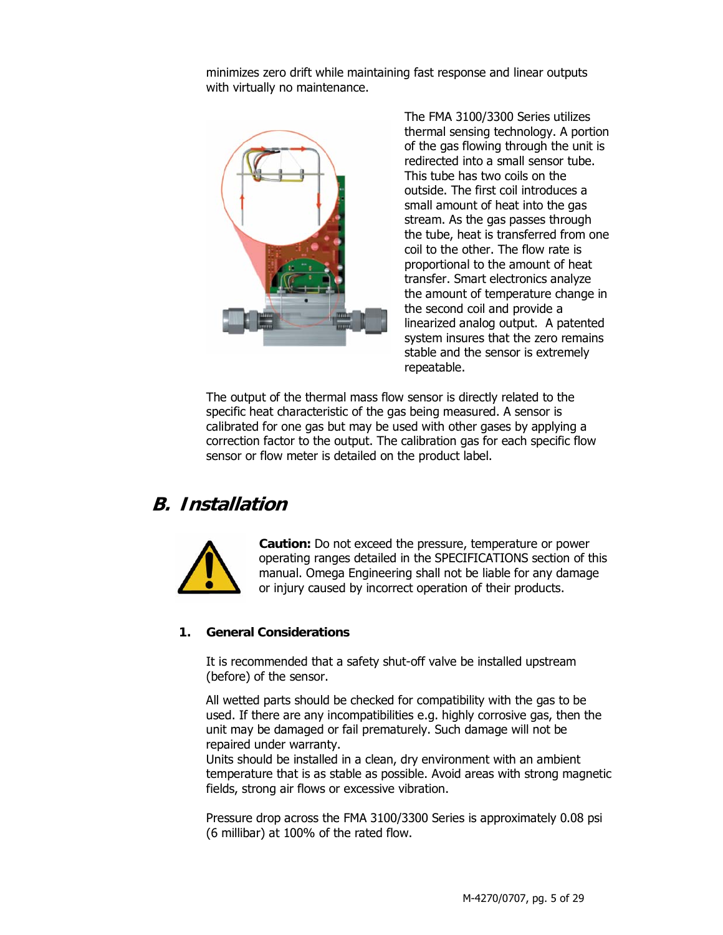minimizes zero drift while maintaining fast response and linear outputs with virtually no maintenance.



The FMA 3100/3300 Series utilizes thermal sensing technology. A portion of the gas flowing through the unit is redirected into a small sensor tube. This tube has two coils on the outside. The first coil introduces a small amount of heat into the gas stream. As the gas passes through the tube, heat is transferred from one coil to the other. The flow rate is proportional to the amount of heat transfer. Smart electronics analyze the amount of temperature change in the second coil and provide a linearized analog output. A patented system insures that the zero remains stable and the sensor is extremely repeatable.

The output of the thermal mass flow sensor is directly related to the specific heat characteristic of the gas being measured. A sensor is calibrated for one gas but may be used with other gases by applying a correction factor to the output. The calibration gas for each specific flow sensor or flow meter is detailed on the product label.

## **B. Installation**



**Caution:** Do not exceed the pressure, temperature or power operating ranges detailed in the SPECIFICATIONS section of this manual. Omega Engineering shall not be liable for any damage or injury caused by incorrect operation of their products.

#### **1. General Considerations**

It is recommended that a safety shut-off valve be installed upstream (before) of the sensor.

All wetted parts should be checked for compatibility with the gas to be used. If there are any incompatibilities e.g. highly corrosive gas, then the unit may be damaged or fail prematurely. Such damage will not be repaired under warranty.

Units should be installed in a clean, dry environment with an ambient temperature that is as stable as possible. Avoid areas with strong magnetic fields, strong air flows or excessive vibration.

Pressure drop across the FMA 3100/3300 Series is approximately 0.08 psi (6 millibar) at 100% of the rated flow.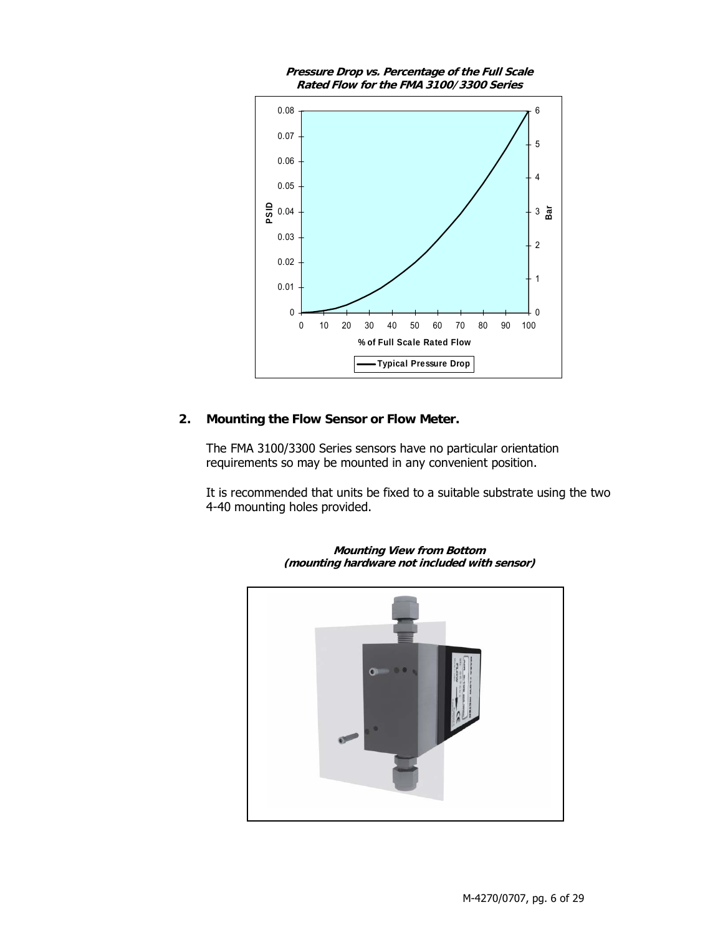

#### **2. Mounting the Flow Sensor or Flow Meter.**

The FMA 3100/3300 Series sensors have no particular orientation requirements so may be mounted in any convenient position.

It is recommended that units be fixed to a suitable substrate using the two 4-40 mounting holes provided.



**Mounting View from Bottom (mounting hardware not included with sensor)**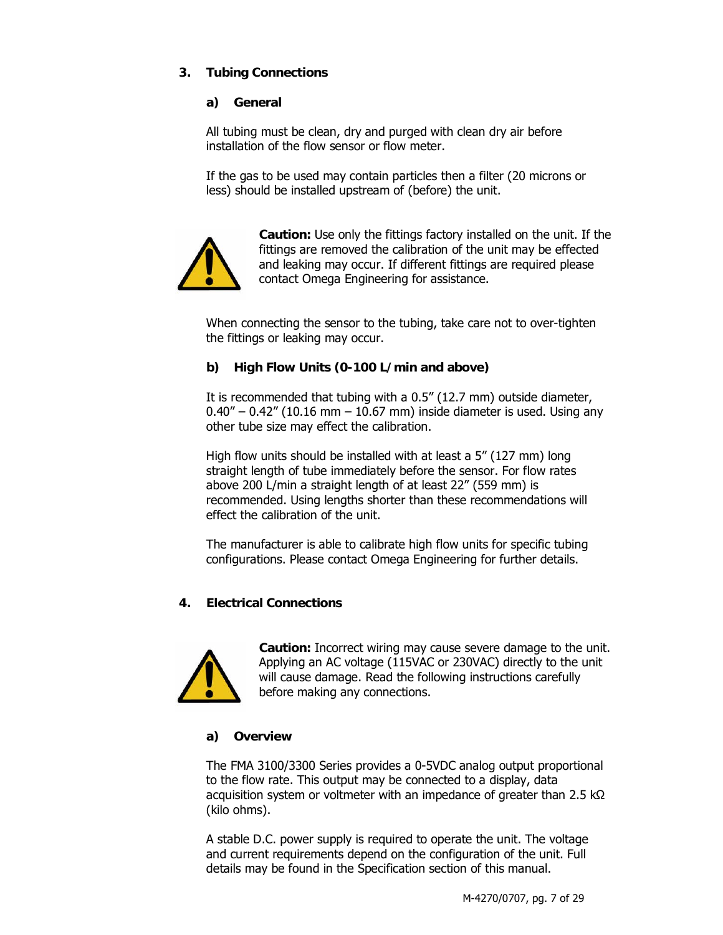#### **3. Tubing Connections**

#### **a) General**

All tubing must be clean, dry and purged with clean dry air before installation of the flow sensor or flow meter.

If the gas to be used may contain particles then a filter (20 microns or less) should be installed upstream of (before) the unit.



**Caution:** Use only the fittings factory installed on the unit. If the fittings are removed the calibration of the unit may be effected and leaking may occur. If different fittings are required please contact Omega Engineering for assistance.

When connecting the sensor to the tubing, take care not to over-tighten the fittings or leaking may occur.

#### **b) High Flow Units (0-100 L/min and above)**

It is recommended that tubing with a 0.5" (12.7 mm) outside diameter,  $0.40'' - 0.42''$  (10.16 mm  $-$  10.67 mm) inside diameter is used. Using any other tube size may effect the calibration.

High flow units should be installed with at least a 5" (127 mm) long straight length of tube immediately before the sensor. For flow rates above 200 L/min a straight length of at least 22" (559 mm) is recommended. Using lengths shorter than these recommendations will effect the calibration of the unit.

The manufacturer is able to calibrate high flow units for specific tubing configurations. Please contact Omega Engineering for further details.

#### **4. Electrical Connections**



**Caution:** Incorrect wiring may cause severe damage to the unit. Applying an AC voltage (115VAC or 230VAC) directly to the unit will cause damage. Read the following instructions carefully before making any connections.

#### **a) Overview**

The FMA 3100/3300 Series provides a 0-5VDC analog output proportional to the flow rate. This output may be connected to a display, data acquisition system or voltmeter with an impedance of greater than 2.5 kΩ (kilo ohms).

A stable D.C. power supply is required to operate the unit. The voltage and current requirements depend on the configuration of the unit. Full details may be found in the Specification section of this manual.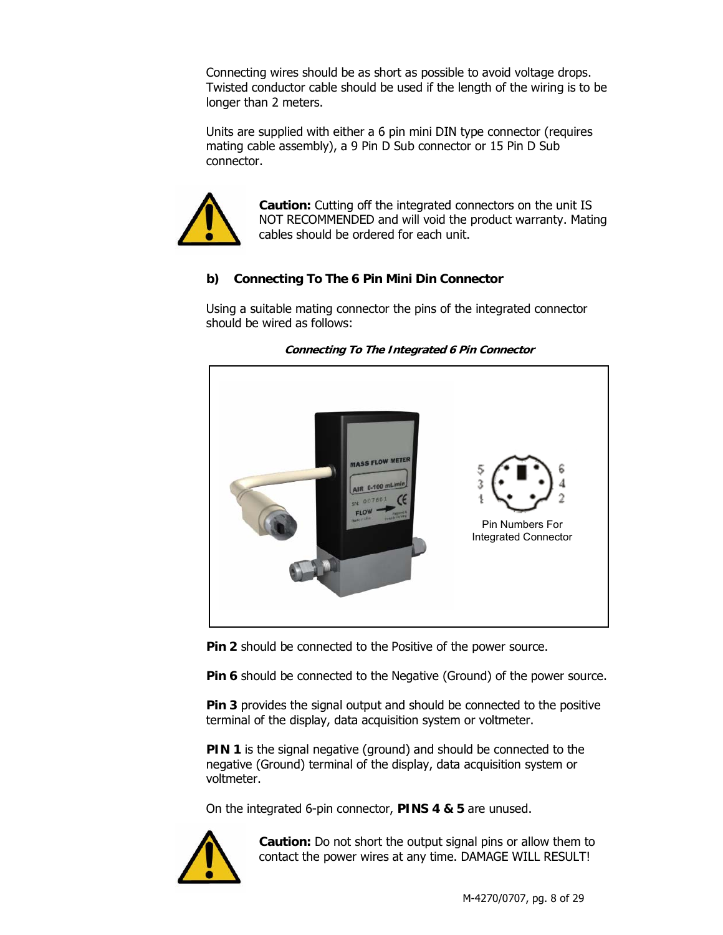Connecting wires should be as short as possible to avoid voltage drops. Twisted conductor cable should be used if the length of the wiring is to be longer than 2 meters.

Units are supplied with either a 6 pin mini DIN type connector (requires mating cable assembly), a 9 Pin D Sub connector or 15 Pin D Sub connector.



**Caution:** Cutting off the integrated connectors on the unit IS NOT RECOMMENDED and will void the product warranty. Mating cables should be ordered for each unit.

#### **b) Connecting To The 6 Pin Mini Din Connector**

Using a suitable mating connector the pins of the integrated connector should be wired as follows:



**Connecting To The Integrated 6 Pin Connector** 

**Pin 2** should be connected to the Positive of the power source.

**Pin 6** should be connected to the Negative (Ground) of the power source.

**Pin 3** provides the signal output and should be connected to the positive terminal of the display, data acquisition system or voltmeter.

**PIN 1** is the signal negative (ground) and should be connected to the negative (Ground) terminal of the display, data acquisition system or voltmeter.

On the integrated 6-pin connector, **PINS 4 & 5** are unused.



**Caution:** Do not short the output signal pins or allow them to contact the power wires at any time. DAMAGE WILL RESULT!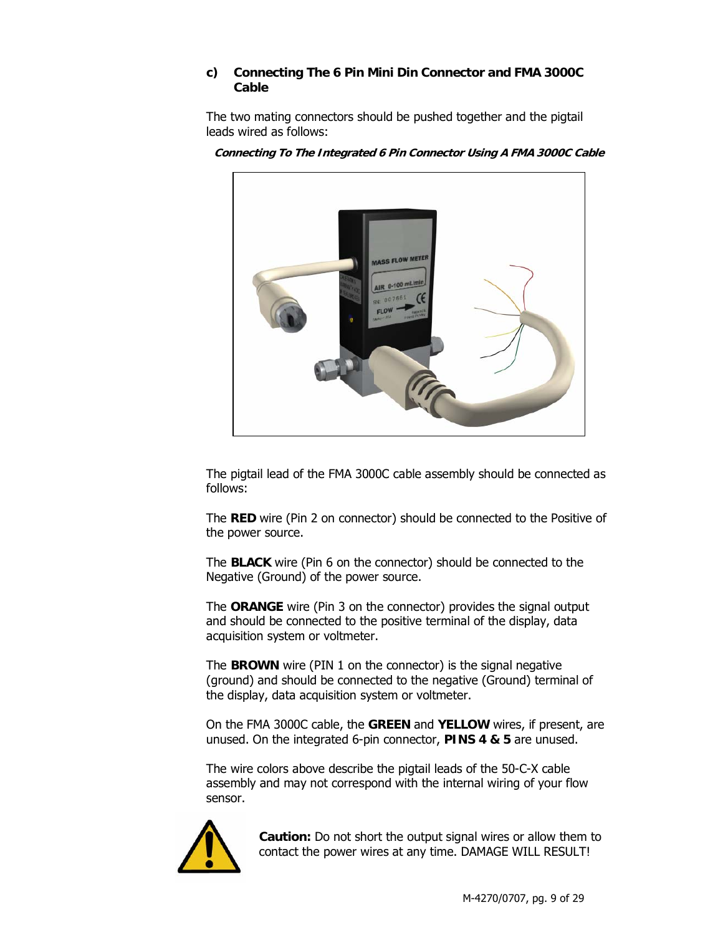#### **c) Connecting The 6 Pin Mini Din Connector and FMA 3000C Cable**

The two mating connectors should be pushed together and the pigtail leads wired as follows:



**Connecting To The Integrated 6 Pin Connector Using A FMA 3000C Cable** 

The pigtail lead of the FMA 3000C cable assembly should be connected as follows:

The **RED** wire (Pin 2 on connector) should be connected to the Positive of the power source.

The **BLACK** wire (Pin 6 on the connector) should be connected to the Negative (Ground) of the power source.

The **ORANGE** wire (Pin 3 on the connector) provides the signal output and should be connected to the positive terminal of the display, data acquisition system or voltmeter.

The **BROWN** wire (PIN 1 on the connector) is the signal negative (ground) and should be connected to the negative (Ground) terminal of the display, data acquisition system or voltmeter.

On the FMA 3000C cable, the **GREEN** and **YELLOW** wires, if present, are unused. On the integrated 6-pin connector, **PINS 4 & 5** are unused.

The wire colors above describe the pigtail leads of the 50-C-X cable assembly and may not correspond with the internal wiring of your flow sensor.



**Caution:** Do not short the output signal wires or allow them to contact the power wires at any time. DAMAGE WILL RESULT!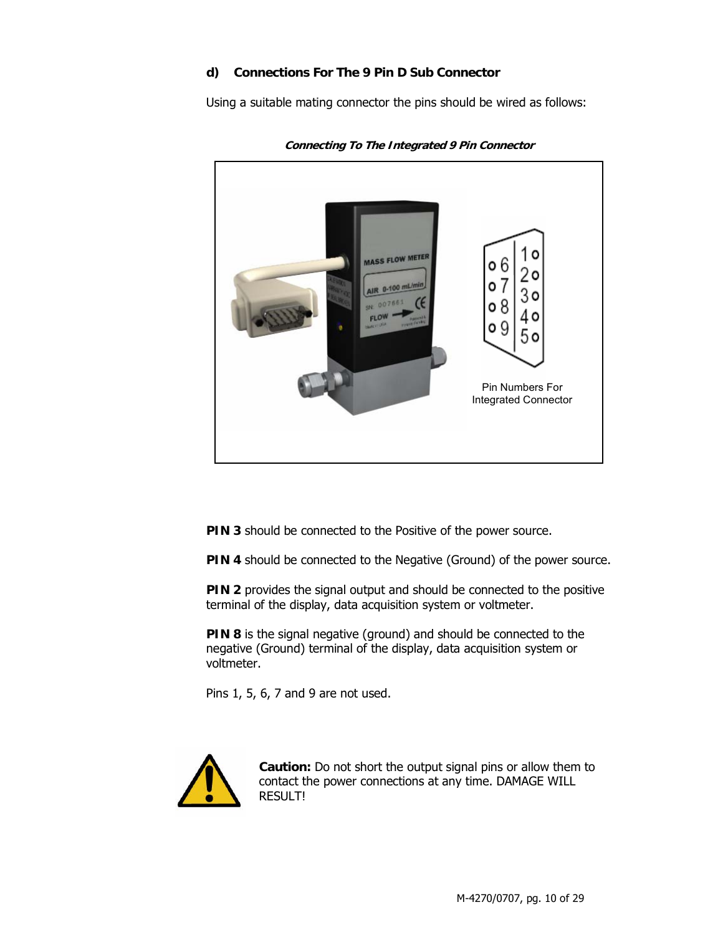#### **d) Connections For The 9 Pin D Sub Connector**

Using a suitable mating connector the pins should be wired as follows:



**Connecting To The Integrated 9 Pin Connector** 

**PIN 3** should be connected to the Positive of the power source.

**PIN 4** should be connected to the Negative (Ground) of the power source.

**PIN 2** provides the signal output and should be connected to the positive terminal of the display, data acquisition system or voltmeter.

**PIN 8** is the signal negative (ground) and should be connected to the negative (Ground) terminal of the display, data acquisition system or voltmeter.

Pins 1, 5, 6, 7 and 9 are not used.



**Caution:** Do not short the output signal pins or allow them to contact the power connections at any time. DAMAGE WILL RESULT!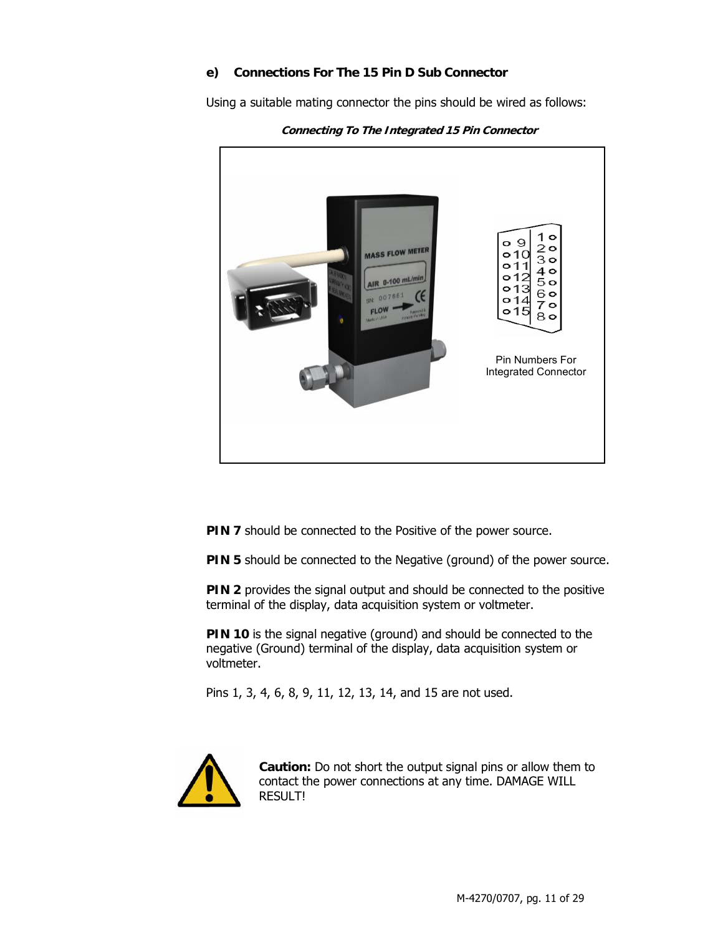#### **e) Connections For The 15 Pin D Sub Connector**

Using a suitable mating connector the pins should be wired as follows:



**Connecting To The Integrated 15 Pin Connector** 

**PIN 7** should be connected to the Positive of the power source.

**PIN 5** should be connected to the Negative (ground) of the power source.

**PIN 2** provides the signal output and should be connected to the positive terminal of the display, data acquisition system or voltmeter.

**PIN 10** is the signal negative (ground) and should be connected to the negative (Ground) terminal of the display, data acquisition system or voltmeter.

Pins 1, 3, 4, 6, 8, 9, 11, 12, 13, 14, and 15 are not used.



**Caution:** Do not short the output signal pins or allow them to contact the power connections at any time. DAMAGE WILL RESULT!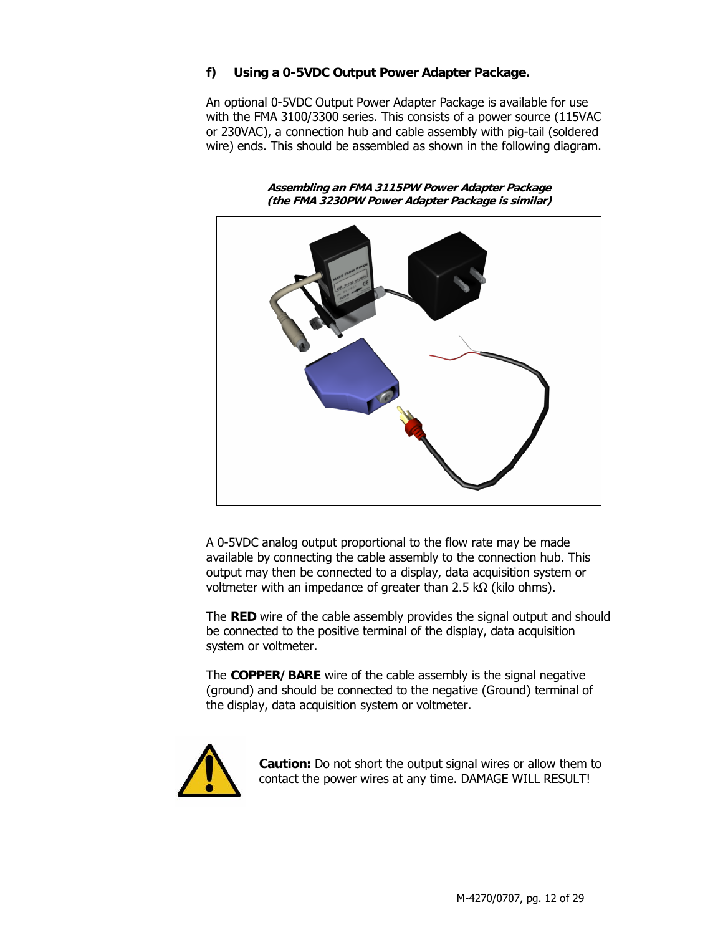#### **f) Using a 0-5VDC Output Power Adapter Package.**

An optional 0-5VDC Output Power Adapter Package is available for use with the FMA 3100/3300 series. This consists of a power source (115VAC or 230VAC), a connection hub and cable assembly with pig-tail (soldered wire) ends. This should be assembled as shown in the following diagram.

**Assembling an FMA 3115PW Power Adapter Package (the FMA 3230PW Power Adapter Package is similar)** 

A 0-5VDC analog output proportional to the flow rate may be made available by connecting the cable assembly to the connection hub. This output may then be connected to a display, data acquisition system or voltmeter with an impedance of greater than 2.5 kΩ (kilo ohms).

The **RED** wire of the cable assembly provides the signal output and should be connected to the positive terminal of the display, data acquisition system or voltmeter.

The **COPPER/BARE** wire of the cable assembly is the signal negative (ground) and should be connected to the negative (Ground) terminal of the display, data acquisition system or voltmeter.



**Caution:** Do not short the output signal wires or allow them to contact the power wires at any time. DAMAGE WILL RESULT!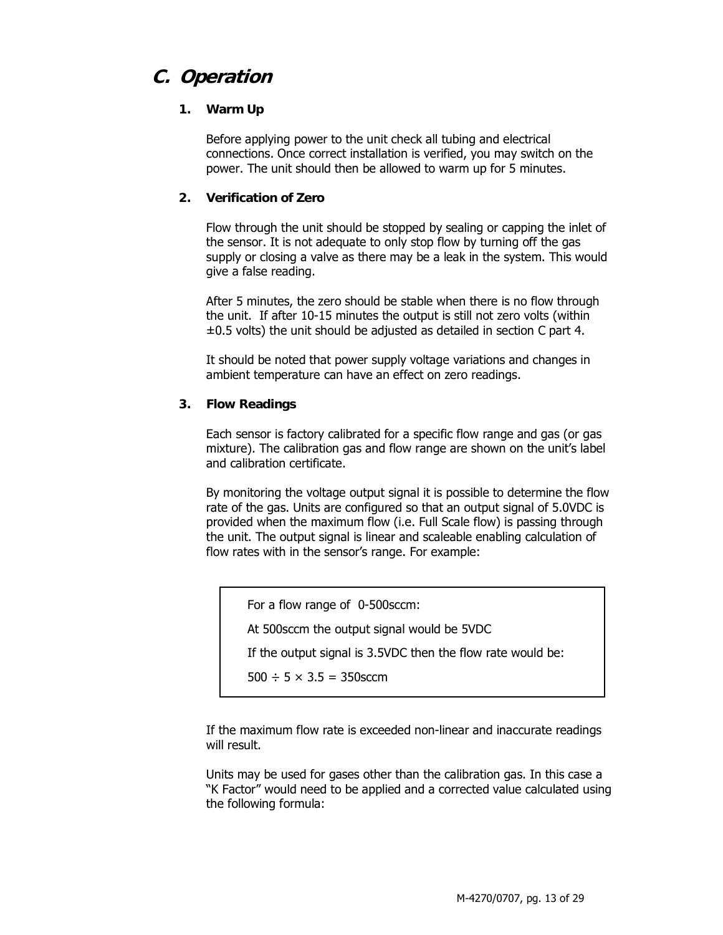## **C. Operation**

#### **1. Warm Up**

Before applying power to the unit check all tubing and electrical connections. Once correct installation is verified, you may switch on the power. The unit should then be allowed to warm up for 5 minutes.

#### **2. Verification of Zero**

Flow through the unit should be stopped by sealing or capping the inlet of the sensor. It is not adequate to only stop flow by turning off the gas supply or closing a valve as there may be a leak in the system. This would give a false reading.

After 5 minutes, the zero should be stable when there is no flow through the unit. If after 10-15 minutes the output is still not zero volts (within  $\pm 0.5$  volts) the unit should be adjusted as detailed in section C part 4.

It should be noted that power supply voltage variations and changes in ambient temperature can have an effect on zero readings.

#### **3. Flow Readings**

Each sensor is factory calibrated for a specific flow range and gas (or gas mixture). The calibration gas and flow range are shown on the unit's label and calibration certificate.

By monitoring the voltage output signal it is possible to determine the flow rate of the gas. Units are configured so that an output signal of 5.0VDC is provided when the maximum flow (i.e. Full Scale flow) is passing through the unit. The output signal is linear and scaleable enabling calculation of flow rates with in the sensor's range. For example:

For a flow range of 0-500sccm:

At 500sccm the output signal would be 5VDC

If the output signal is 3.5VDC then the flow rate would be:

 $500 \div 5 \times 3.5 = 350$  sccm

If the maximum flow rate is exceeded non-linear and inaccurate readings will result.

Units may be used for gases other than the calibration gas. In this case a "K Factor" would need to be applied and a corrected value calculated using the following formula: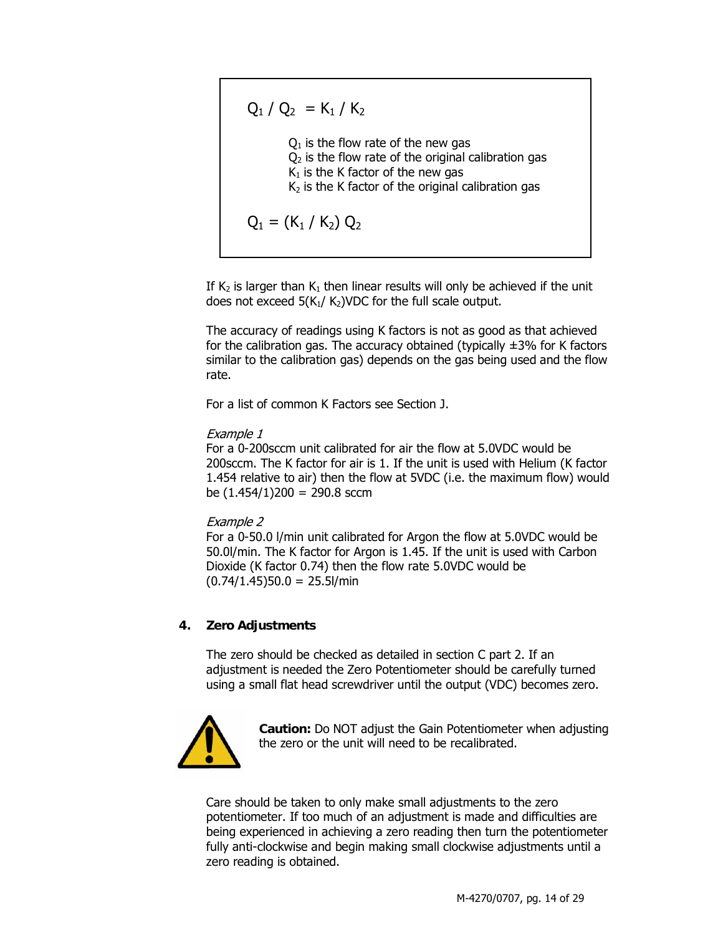$$
Q_1 / Q_2 = K_1 / K_2
$$
  
Q<sub>1</sub> is the flow rate of the new gas  
Q<sub>2</sub> is the flow rate of the original calibration gas  
K<sub>1</sub> is the K factor of the new gas  
K<sub>2</sub> is the K factor of the original calibration gas  

$$
Q_1 = (K_1 / K_2) Q_2
$$

If  $K_2$  is larger than  $K_1$  then linear results will only be achieved if the unit does not exceed  $5(K_1/K_2)$ VDC for the full scale output.

The accuracy of readings using K factors is not as good as that achieved for the calibration gas. The accuracy obtained (typically  $\pm$ 3% for K factors similar to the calibration gas) depends on the gas being used and the flow rate.

For a list of common K Factors see Section J.

#### Example 1

For a 0-200sccm unit calibrated for air the flow at 5.0VDC would be 200sccm. The K factor for air is 1. If the unit is used with Helium (K factor 1.454 relative to air) then the flow at 5VDC (i.e. the maximum flow) would be  $(1.454/1)200 = 290.8$  sccm

#### Example 2

For a 0-50.0 l/min unit calibrated for Argon the flow at 5.0VDC would be 50.0l/min. The K factor for Argon is 1.45. If the unit is used with Carbon Dioxide (K factor 0.74) then the flow rate 5.0VDC would be  $(0.74/1.45)50.0 = 25.5$ l/min

#### **4. Zero Adjustments**

The zero should be checked as detailed in section C part 2. If an adjustment is needed the Zero Potentiometer should be carefully turned using a small flat head screwdriver until the output (VDC) becomes zero.



**Caution:** Do NOT adjust the Gain Potentiometer when adjusting the zero or the unit will need to be recalibrated.

Care should be taken to only make small adjustments to the zero potentiometer. If too much of an adjustment is made and difficulties are being experienced in achieving a zero reading then turn the potentiometer fully anti-clockwise and begin making small clockwise adjustments until a zero reading is obtained.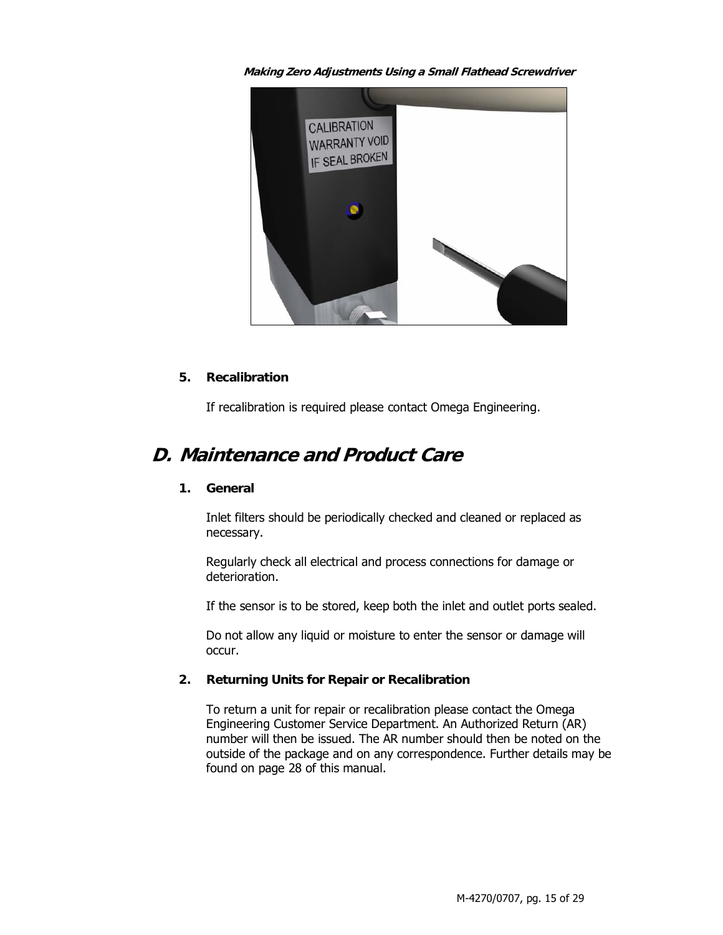**Making Zero Adjustments Using a Small Flathead Screwdriver** 



#### **5. Recalibration**

If recalibration is required please contact Omega Engineering.

## **D. Maintenance and Product Care**

#### **1. General**

Inlet filters should be periodically checked and cleaned or replaced as necessary.

Regularly check all electrical and process connections for damage or deterioration.

If the sensor is to be stored, keep both the inlet and outlet ports sealed.

Do not allow any liquid or moisture to enter the sensor or damage will occur.

#### **2. Returning Units for Repair or Recalibration**

To return a unit for repair or recalibration please contact the Omega Engineering Customer Service Department. An Authorized Return (AR) number will then be issued. The AR number should then be noted on the outside of the package and on any correspondence. Further details may be found on page 28 of this manual.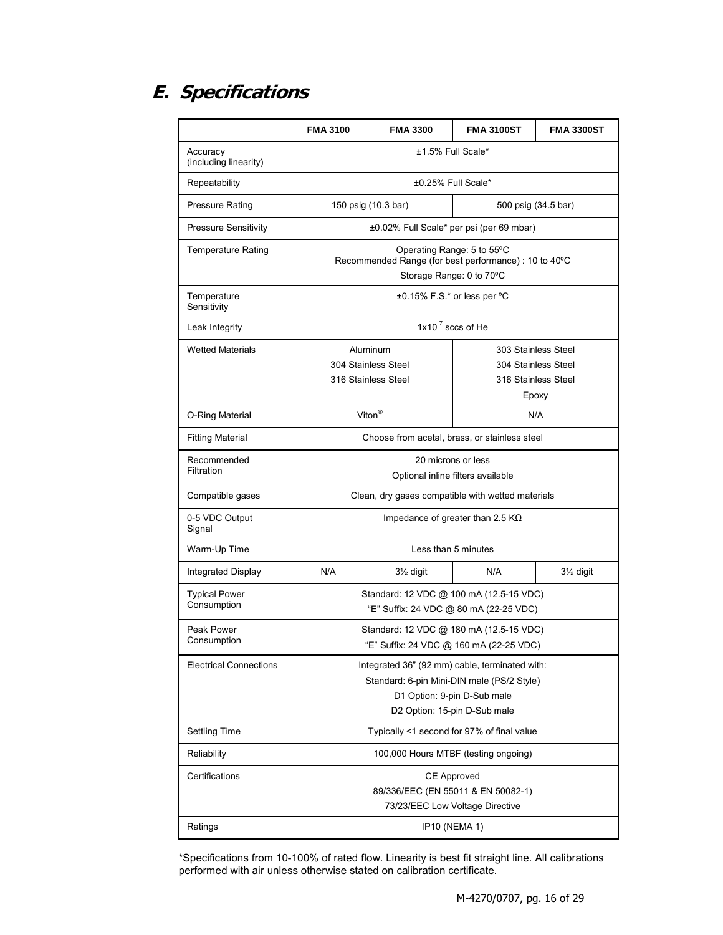# **E. Specifications**

|                                     | <b>FMA 3100</b>                                                                                                                                             | <b>FMA 3300</b>                   | <b>FMA 3100ST</b>                        | <b>FMA 3300ST</b>      |
|-------------------------------------|-------------------------------------------------------------------------------------------------------------------------------------------------------------|-----------------------------------|------------------------------------------|------------------------|
| Accuracy<br>(including linearity)   | ±1.5% Full Scale*                                                                                                                                           |                                   |                                          |                        |
| Repeatability                       |                                                                                                                                                             | ±0.25% Full Scale*                |                                          |                        |
| <b>Pressure Rating</b>              | 150 psig (10.3 bar)                                                                                                                                         |                                   |                                          | 500 psig (34.5 bar)    |
| <b>Pressure Sensitivity</b>         |                                                                                                                                                             |                                   | ±0.02% Full Scale* per psi (per 69 mbar) |                        |
| <b>Temperature Rating</b>           | Operating Range: 5 to 55°C<br>Recommended Range (for best performance) : 10 to 40°C<br>Storage Range: 0 to 70°C                                             |                                   |                                          |                        |
| Temperature<br>Sensitivity          |                                                                                                                                                             | $\pm 0.15\%$ F.S.* or less per °C |                                          |                        |
| Leak Integrity                      | $1x10^{-7}$ sccs of He                                                                                                                                      |                                   |                                          |                        |
| <b>Wetted Materials</b>             | Aluminum                                                                                                                                                    |                                   | 303 Stainless Steel                      |                        |
|                                     | 304 Stainless Steel                                                                                                                                         |                                   |                                          | 304 Stainless Steel    |
|                                     | 316 Stainless Steel                                                                                                                                         |                                   |                                          | 316 Stainless Steel    |
|                                     |                                                                                                                                                             |                                   |                                          | Epoxy                  |
| O-Ring Material                     | Viton $^{\circledR}$                                                                                                                                        |                                   | N/A                                      |                        |
| <b>Fitting Material</b>             | Choose from acetal, brass, or stainless steel                                                                                                               |                                   |                                          |                        |
| Recommended<br>Filtration           | 20 microns or less<br>Optional inline filters available                                                                                                     |                                   |                                          |                        |
| Compatible gases                    | Clean, dry gases compatible with wetted materials                                                                                                           |                                   |                                          |                        |
| 0-5 VDC Output<br>Signal            | Impedance of greater than 2.5 $K\Omega$                                                                                                                     |                                   |                                          |                        |
| Warm-Up Time                        | Less than 5 minutes                                                                                                                                         |                                   |                                          |                        |
| Integrated Display                  | N/A                                                                                                                                                         | 31/ <sub>2</sub> digit            | N/A                                      | 31/ <sub>2</sub> digit |
| <b>Typical Power</b><br>Consumption | Standard: 12 VDC @ 100 mA (12.5-15 VDC)<br>"E" Suffix: 24 VDC @ 80 mA (22-25 VDC)                                                                           |                                   |                                          |                        |
| Peak Power<br>Consumption           | Standard: 12 VDC @ 180 mA (12.5-15 VDC)<br>"E" Suffix: 24 VDC @ 160 mA (22-25 VDC)                                                                          |                                   |                                          |                        |
| <b>Electrical Connections</b>       | Integrated 36" (92 mm) cable, terminated with:<br>Standard: 6-pin Mini-DIN male (PS/2 Style)<br>D1 Option: 9-pin D-Sub male<br>D2 Option: 15-pin D-Sub male |                                   |                                          |                        |
| <b>Settling Time</b>                | Typically <1 second for 97% of final value                                                                                                                  |                                   |                                          |                        |
| Reliability                         | 100,000 Hours MTBF (testing ongoing)                                                                                                                        |                                   |                                          |                        |
| Certifications                      | <b>CE Approved</b><br>89/336/EEC (EN 55011 & EN 50082-1)<br>73/23/EEC Low Voltage Directive                                                                 |                                   |                                          |                        |
| Ratings                             | <b>IP10 (NEMA 1)</b>                                                                                                                                        |                                   |                                          |                        |

\*Specifications from 10-100% of rated flow. Linearity is best fit straight line. All calibrations performed with air unless otherwise stated on calibration certificate.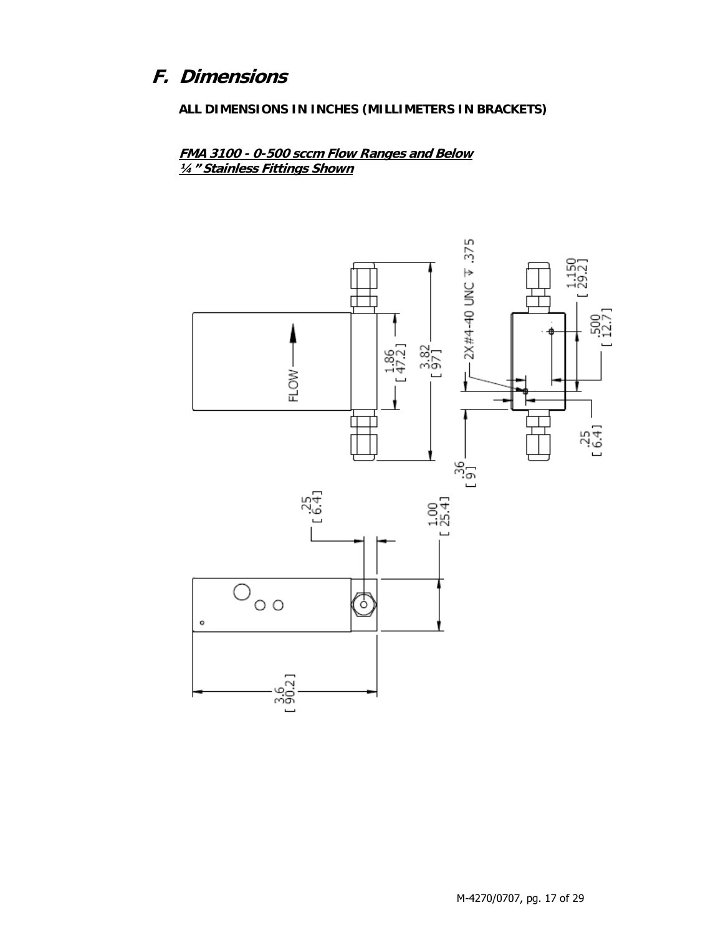# F. Dimensions

ALL DIMENSIONS IN INCHES (MILLIMETERS IN BRACKETS)

FMA 3100 - 0-500 sccm Flow Ranges and Below 1/4" Stainless Fittings Shown

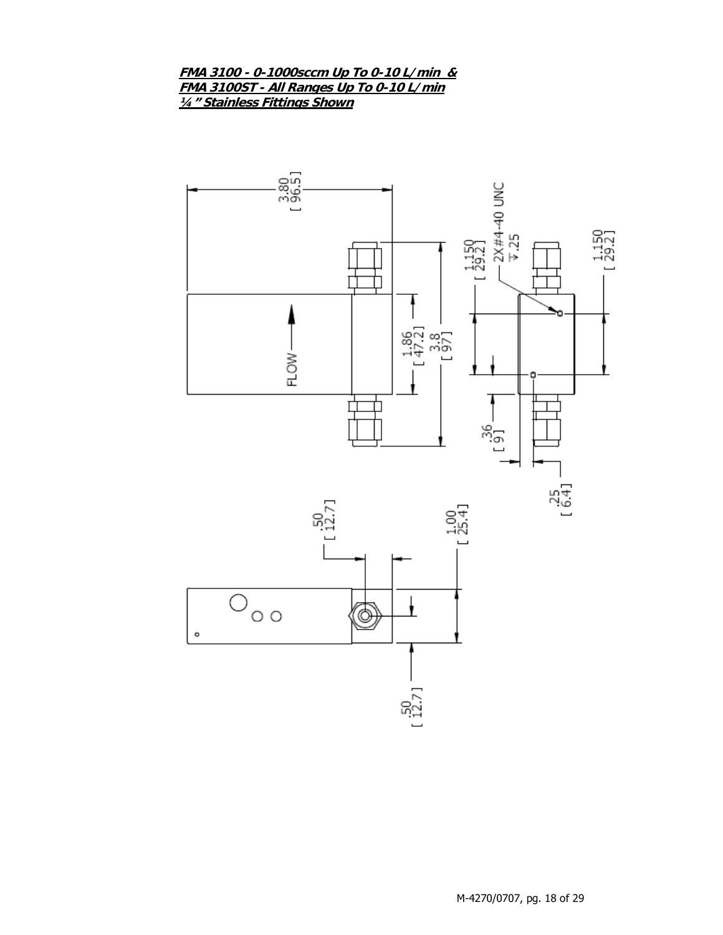#### **FMA 3100 - 0-1000sccm Up To 0-10 L/min & FMA 3100ST - All Ranges Up To 0-10 L/min ¼" Stainless Fittings Shown**

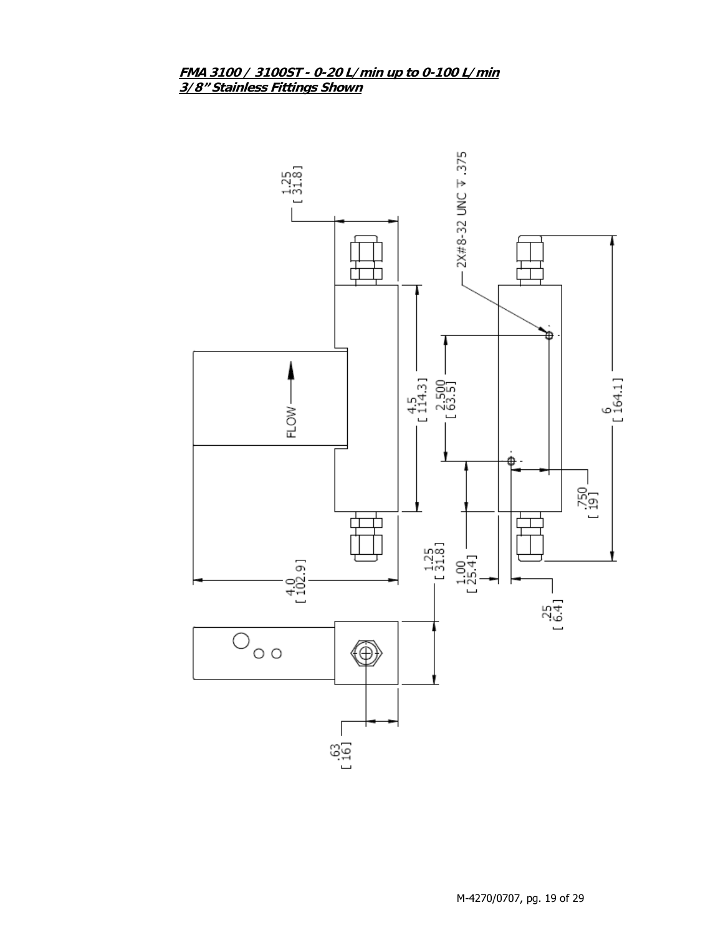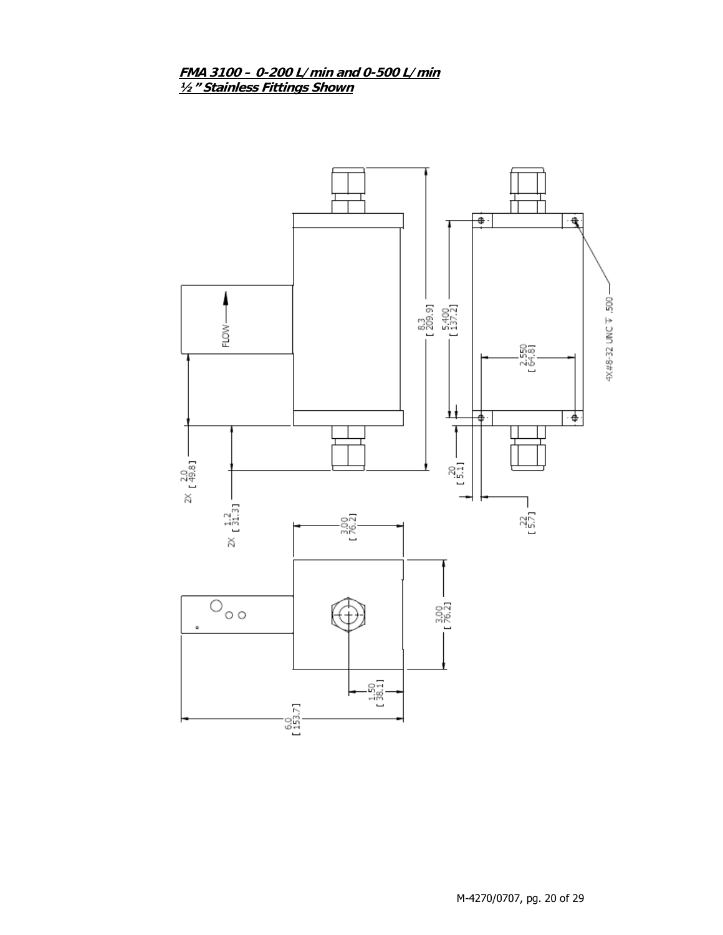FMA 3100 - 0-200 L/min and 0-500 L/min<br>1/2" Stainless Fittings Shown

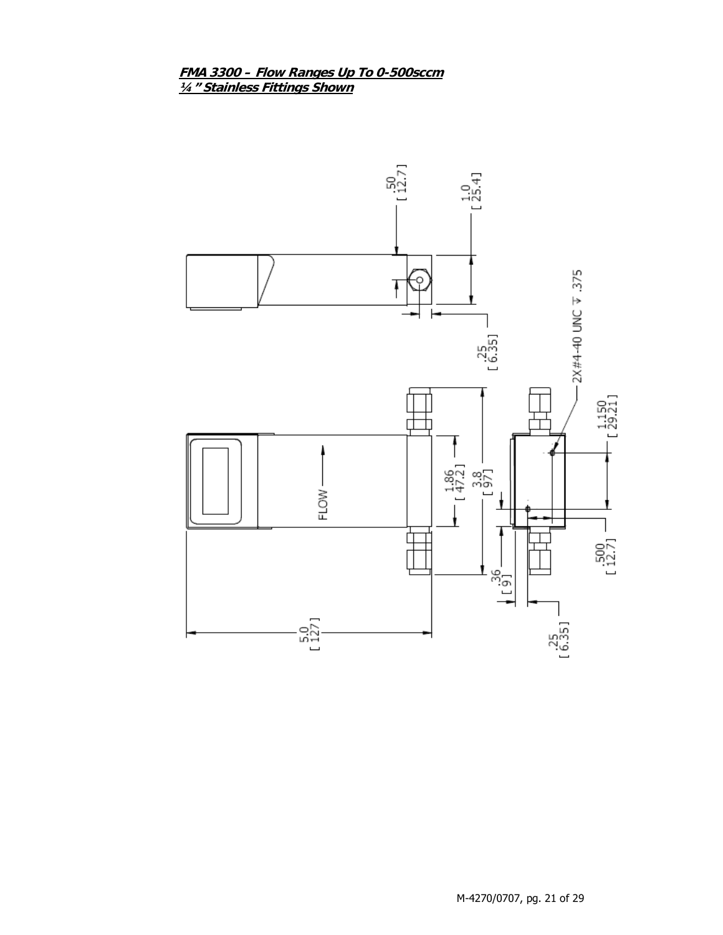FMA 3300 - Flow Ranges Up To 0-500sccm 1/4" Stainless Fittings Shown

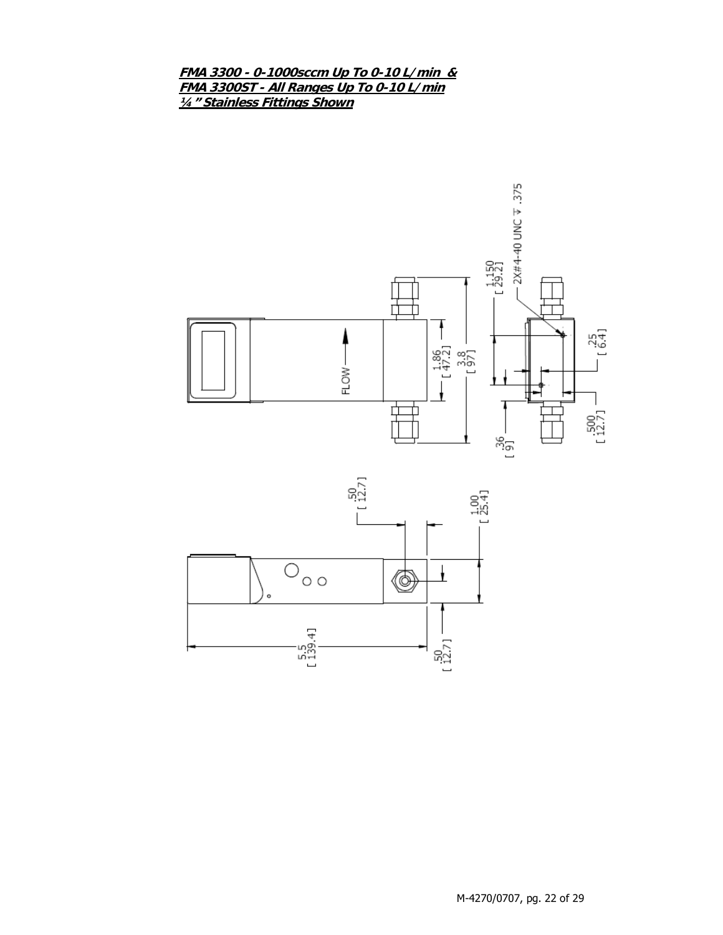**FMA 3300 - 0-1000sccm Up To 0-10 L/min & FMA 3300ST - All Ranges Up To 0-10 L/min ¼" Stainless Fittings Shown**



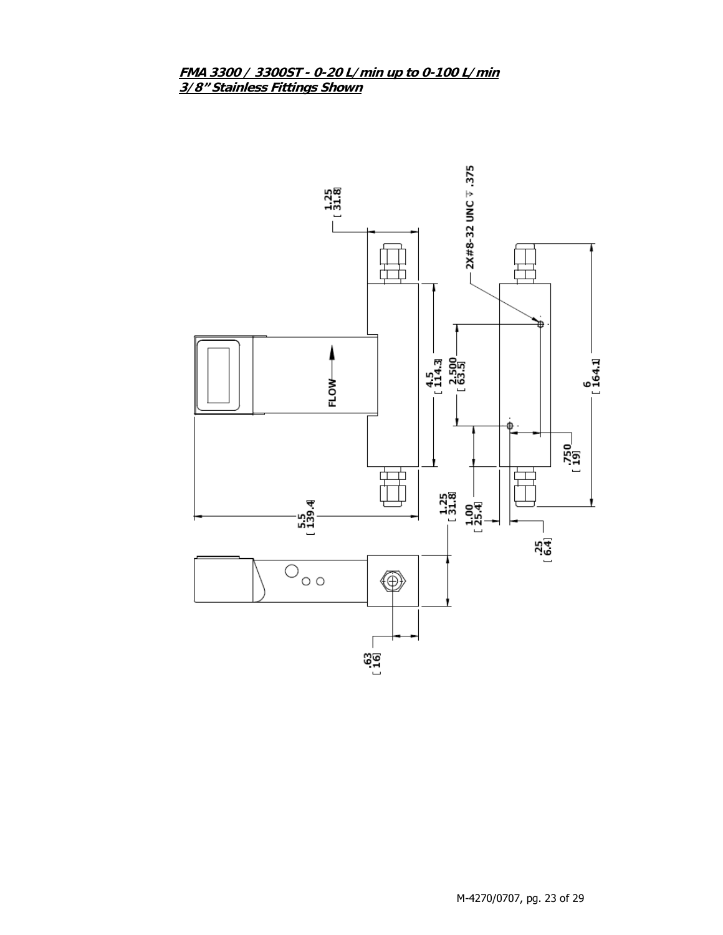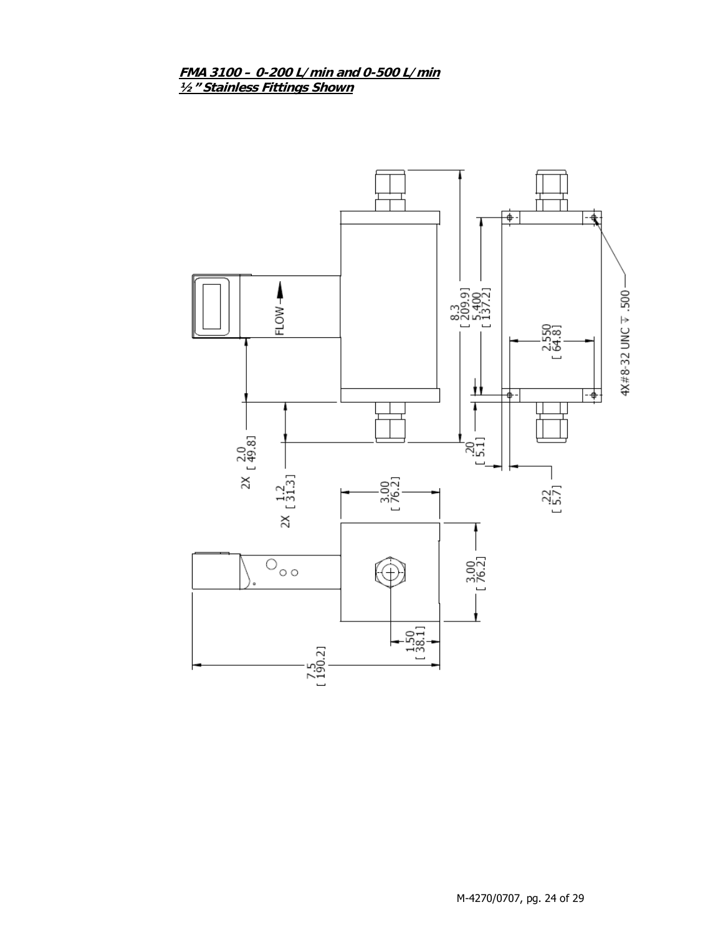FMA 3100 - 0-200 L/min and 0-500 L/min 1/2" Stainless Fittings Shown

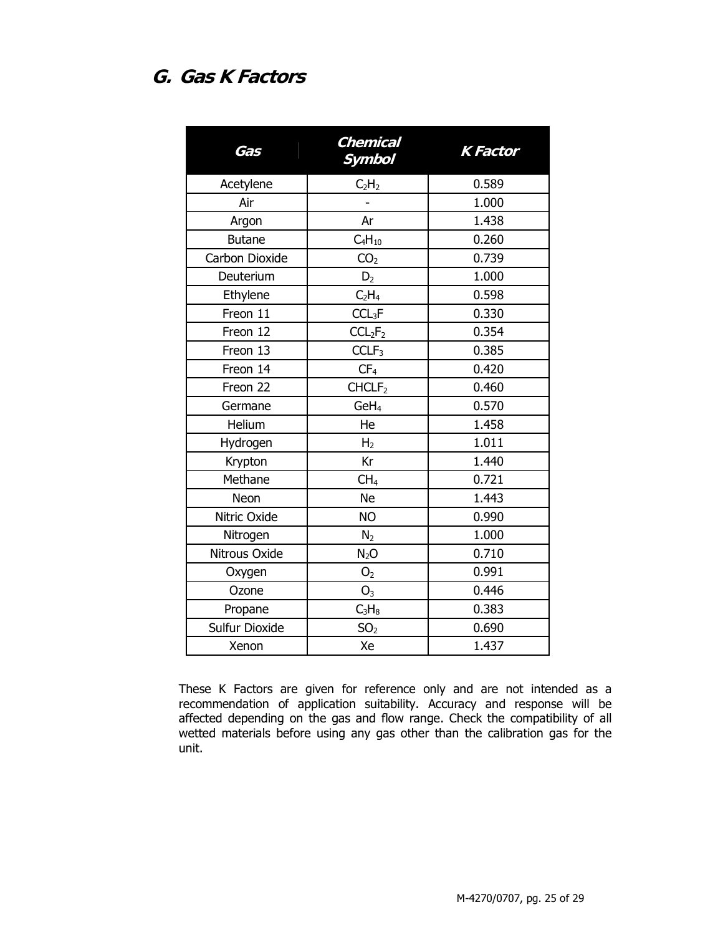## **G. Gas K Factors**

| Gas            | <b>Chemical</b><br><b>Symbol</b> | <b>K</b> Factor |
|----------------|----------------------------------|-----------------|
| Acetylene      | C <sub>2</sub> H <sub>2</sub>    | 0.589           |
| Air            |                                  | 1.000           |
| Argon          | Ar                               | 1.438           |
| <b>Butane</b>  | $C_4H_{10}$                      | 0.260           |
| Carbon Dioxide | CO <sub>2</sub>                  | 0.739           |
| Deuterium      | D <sub>2</sub>                   | 1.000           |
| Ethylene       | C <sub>2</sub> H <sub>4</sub>    | 0.598           |
| Freon 11       | CCL <sub>3</sub> F               | 0.330           |
| Freon 12       | CCL <sub>2</sub> F <sub>2</sub>  | 0.354           |
| Freon 13       | CCLF <sub>3</sub>                | 0.385           |
| Freon 14       | CF <sub>4</sub>                  | 0.420           |
| Freon 22       | CHCLF <sub>2</sub>               | 0.460           |
| Germane        | GeH <sub>4</sub>                 | 0.570           |
| Helium         | He                               | 1.458           |
| Hydrogen       | H <sub>2</sub>                   | 1.011           |
| Krypton        | Kr                               | 1.440           |
| Methane        | CH <sub>4</sub>                  | 0.721           |
| Neon           | <b>Ne</b>                        | 1.443           |
| Nitric Oxide   | <b>NO</b>                        | 0.990           |
| Nitrogen       | N <sub>2</sub>                   | 1.000           |
| Nitrous Oxide  | $N_2O$                           | 0.710           |
| Oxygen         | O <sub>2</sub>                   | 0.991           |
| Ozone          | $\mathsf{O}_3$                   | 0.446           |
| Propane        | $C_3H_8$                         | 0.383           |
| Sulfur Dioxide | SO <sub>2</sub>                  | 0.690           |
| Xenon          | Xe                               | 1.437           |

These K Factors are given for reference only and are not intended as a recommendation of application suitability. Accuracy and response will be affected depending on the gas and flow range. Check the compatibility of all wetted materials before using any gas other than the calibration gas for the unit.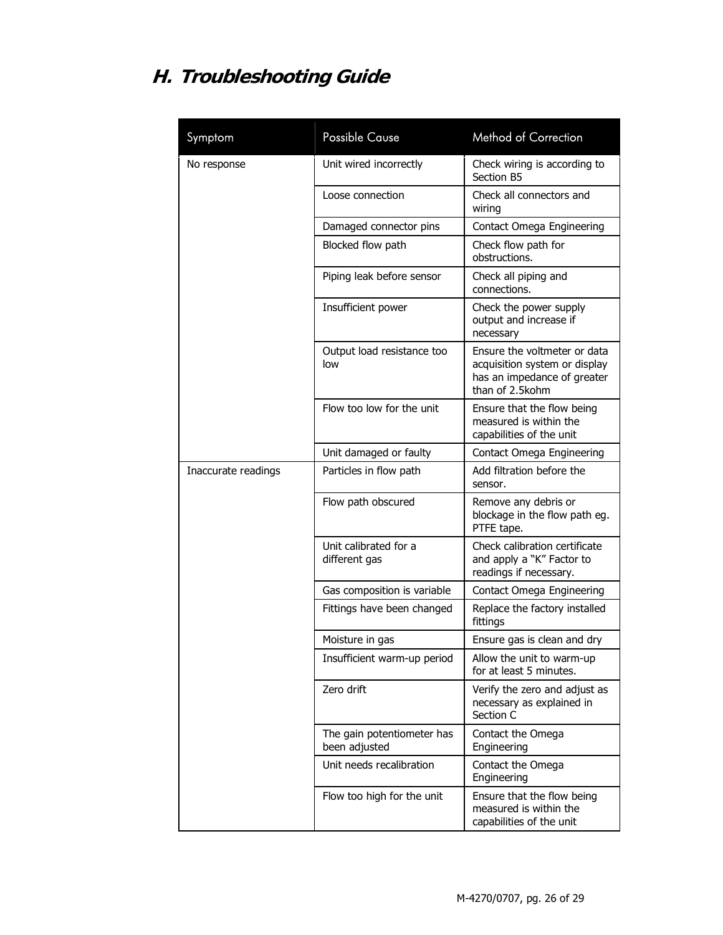# **H. Troubleshooting Guide**

| Symptom             | <b>Possible Cause</b>                       | <b>Method of Correction</b>                                                                                     |
|---------------------|---------------------------------------------|-----------------------------------------------------------------------------------------------------------------|
| No response         | Unit wired incorrectly                      | Check wiring is according to<br>Section B5                                                                      |
|                     | Loose connection                            | Check all connectors and<br>wiring                                                                              |
|                     | Damaged connector pins                      | Contact Omega Engineering                                                                                       |
|                     | Blocked flow path                           | Check flow path for<br>obstructions.                                                                            |
|                     | Piping leak before sensor                   | Check all piping and<br>connections.                                                                            |
|                     | Insufficient power                          | Check the power supply<br>output and increase if<br>necessary                                                   |
|                     | Output load resistance too<br>low           | Ensure the voltmeter or data<br>acquisition system or display<br>has an impedance of greater<br>than of 2.5kohm |
|                     | Flow too low for the unit                   | Ensure that the flow being<br>measured is within the<br>capabilities of the unit                                |
|                     | Unit damaged or faulty                      | Contact Omega Engineering                                                                                       |
| Inaccurate readings | Particles in flow path                      | Add filtration before the<br>sensor.                                                                            |
|                     | Flow path obscured                          | Remove any debris or<br>blockage in the flow path eg.<br>PTFE tape.                                             |
|                     | Unit calibrated for a<br>different gas      | Check calibration certificate<br>and apply a "K" Factor to<br>readings if necessary.                            |
|                     | Gas composition is variable                 | Contact Omega Engineering                                                                                       |
|                     | Fittings have been changed                  | Replace the factory installed<br>fittings                                                                       |
|                     | Moisture in gas                             | Ensure gas is clean and dry                                                                                     |
|                     | Insufficient warm-up period                 | Allow the unit to warm-up<br>for at least 5 minutes.                                                            |
|                     | Zero drift                                  | Verify the zero and adjust as<br>necessary as explained in<br>Section C                                         |
|                     | The gain potentiometer has<br>been adjusted | Contact the Omega<br>Engineering                                                                                |
|                     | Unit needs recalibration                    | Contact the Omega<br>Engineering                                                                                |
|                     | Flow too high for the unit                  | Ensure that the flow being<br>measured is within the<br>capabilities of the unit                                |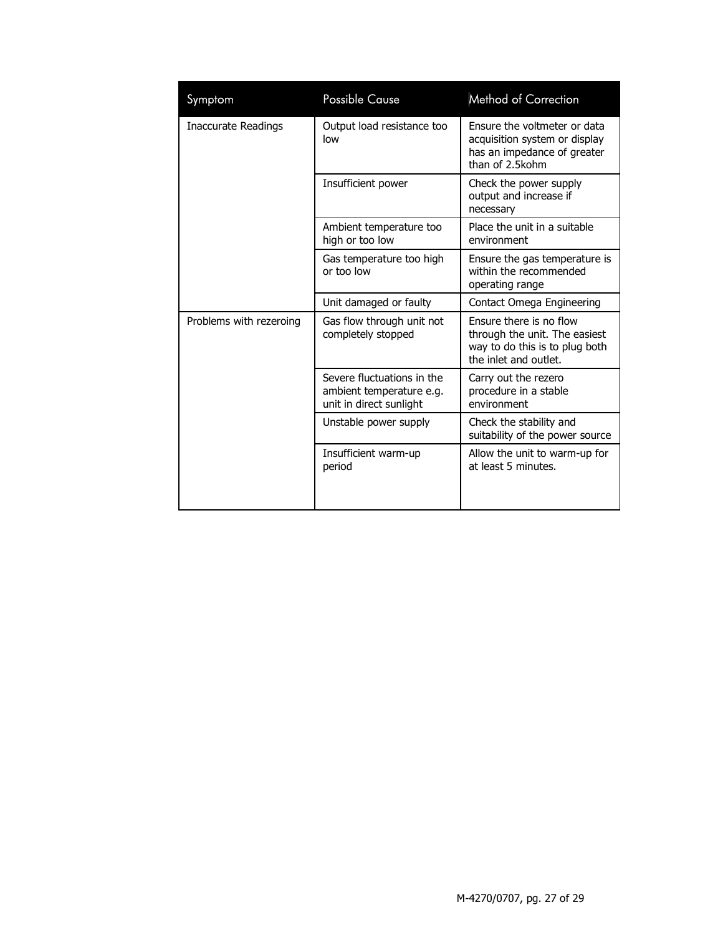| Symptom                 | <b>Possible Cause</b>                                                             | <b>Method of Correction</b>                                                                                         |
|-------------------------|-----------------------------------------------------------------------------------|---------------------------------------------------------------------------------------------------------------------|
| Inaccurate Readings     | Output load resistance too<br>low                                                 | Ensure the voltmeter or data<br>acquisition system or display<br>has an impedance of greater<br>than of 2.5kohm     |
|                         | Insufficient power                                                                | Check the power supply<br>output and increase if<br>necessary                                                       |
|                         | Ambient temperature too<br>high or too low                                        | Place the unit in a suitable<br>environment                                                                         |
|                         | Gas temperature too high<br>or too low                                            | Ensure the gas temperature is<br>within the recommended<br>operating range                                          |
|                         | Unit damaged or faulty                                                            | Contact Omega Engineering                                                                                           |
| Problems with rezeroing | Gas flow through unit not<br>completely stopped                                   | Ensure there is no flow<br>through the unit. The easiest<br>way to do this is to plug both<br>the inlet and outlet. |
|                         | Severe fluctuations in the<br>ambient temperature e.g.<br>unit in direct sunlight | Carry out the rezero<br>procedure in a stable<br>environment                                                        |
|                         | Unstable power supply                                                             | Check the stability and<br>suitability of the power source                                                          |
|                         | Insufficient warm-up<br>period                                                    | Allow the unit to warm-up for<br>at least 5 minutes.                                                                |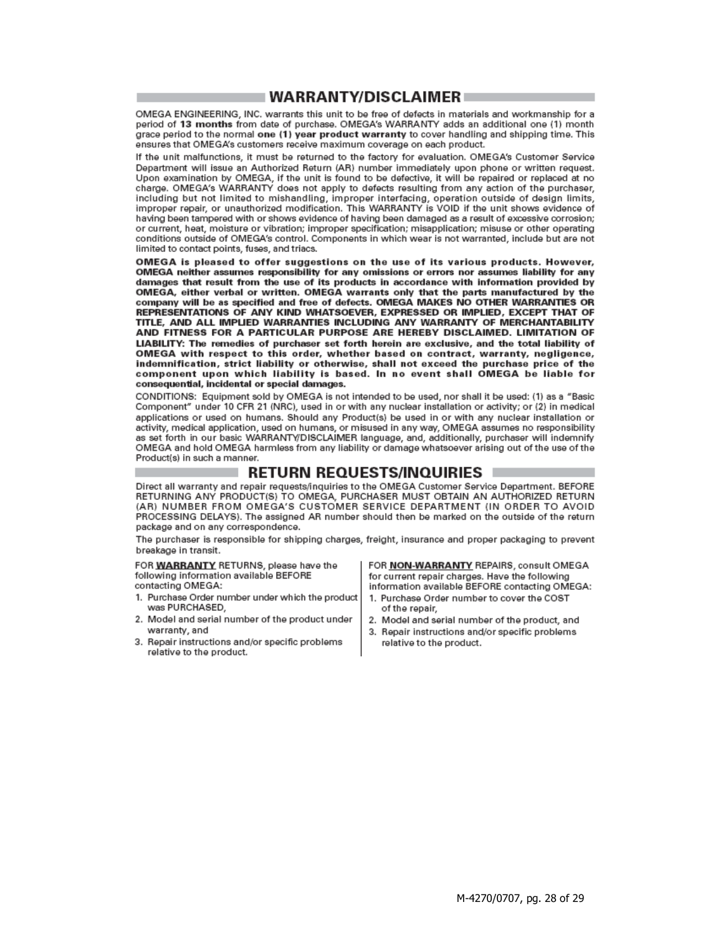#### **∣WARRANTY/DISCLAIMER** ∣

OMEGA ENGINEERING, INC. warrants this unit to be free of defects in materials and workmanship for a period of 13 months from date of purchase. OMEGA's WARRANTY adds an additional one (1) month grace period to the normal one (1) year product warranty to cover handling and shipping time. This ensures that OMEGA's customers receive maximum coverage on each product.

If the unit malfunctions, it must be returned to the factory for evaluation. OMEGA's Customer Service Department will issue an Authorized Return (AR) number immediately upon phone or written request. Upon examination by OMEGA, if the unit is found to be defective, it will be repaired or replaced at no charge. OMEGA's WARRANTY does not apply to defects resulting from any action of the purchaser, including but not limited to mishandling, improper interfacing, operation outside of design limits, improper repair, or unauthorized modification. This WARRANTY is VOID if the unit shows evidence of having been tampered with or shows evidence of having been damaged as a result of excessive corrosion; or current, heat, moisture or vibration; improper specification; misapplication; misuse or other operating conditions outside of OMEGA's control. Components in which wear is not warranted, include but are not limited to contact points, fuses, and triacs.

OMEGA is pleased to offer suggestions on the use of its various products. However, OMEGA neither assumes responsibility for any omissions or errors nor assumes liability for any damages that result from the use of its products in accordance with information provided by OMEGA, either verbal or written. OMEGA warrants only that the parts manufactured by the company will be as specified and free of defects. OMEGA MAKES NO OTHER WARRANTIES OR REPRESENTATIONS OF ANY KIND WHATSOEVER, EXPRESSED OR IMPLIED, EXCEPT THAT OF TITLE, AND ALL IMPLIED WARRANTIES INCLUDING ANY WARRANTY OF MERCHANTABILITY AND FITNESS FOR A PARTICULAR PURPOSE ARE HEREBY DISCLAIMED. LIMITATION OF LIABILITY: The remedies of purchaser set forth herein are exclusive, and the total liability of OMEGA with respect to this order, whether based on contract, warranty, negligence, indemnification, strict liability or otherwise, shall not exceed the purchase price of the<br>component upon which liability is based. In no event shall OMEGA be liable for consequential, incidental or special damages.

CONDITIONS: Equipment sold by OMEGA is not intended to be used, nor shall it be used: (1) as a "Basic Component" under 10 CFR 21 (NRC), used in or with any nuclear installation or activity; or (2) in medical applications or used on humans. Should any Product(s) be used in or with any nuclear installation or activity, medical application, used on humans, or misused in any way, OMEGA assumes no responsibility as set forth in our basic WARRANTY/DISCLAIMER language, and, additionally, purchaser will indemnify OMEGA and hold OMEGA harmless from any liability or damage whatsoever arising out of the use of the Product(s) in such a manner.

#### **RETURN REQUESTS/INQUIRIES**

Direct all warranty and repair requests/inquiries to the OMEGA Customer Service Department. BEFORE RETURNING ANY PRODUCT(S) TO OMEGA, PURCHASER MUST OBTAIN AN AUTHORIZED RETURN (AR) NUMBER FROM OMEGA'S CUSTOMER SERVICE DEPARTMENT (IN ORDER TO AVOID PROCESSING DELAYS). The assigned AR number should then be marked on the outside of the return package and on any correspondence.

The purchaser is responsible for shipping charges, freight, insurance and proper packaging to prevent breakage in transit.

FOR WARRANTY RETURNS, please have the following information available BEFORE

contacting OMEGA:

- 1. Purchase Order number under which the product was PURCHASED.
- 2. Model and serial number of the product under warranty, and
- 3. Repair instructions and/or specific problems relative to the product.

FOR NON-WARRANTY REPAIRS, consult OMEGA for current repair charges. Have the following information available BEFORE contacting OMEGA:

- 1. Purchase Order number to cover the COST of the repair.
- 2. Model and serial number of the product, and
- 3. Repair instructions and/or specific problems relative to the product.